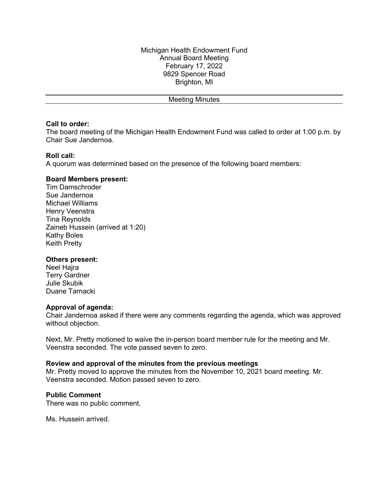Meeting Minutes

### **Call to order:**

The board meeting of the Michigan Health Endowment Fund was called to order at 1:00 p.m. by Chair Sue Jandernoa.

## **Roll call:**

A quorum was determined based on the presence of the following board members:

## **Board Members present:**

Tim Damschroder Sue Jandernoa Michael Williams Henry Veenstra Tina Reynolds Zaineb Hussein (arrived at 1:20) Kathy Boles Keith Pretty

# **Others present:**

Neel Hajra Terry Gardner Julie Skubik Duane Tarnacki

### **Approval of agenda:**

Chair Jandernoa asked if there were any comments regarding the agenda, which was approved without objection.

Next, Mr. Pretty motioned to waive the in-person board member rule for the meeting and Mr. Veenstra seconded. The vote passed seven to zero.

### **Review and approval of the minutes from the previous meetings**

Mr. Pretty moved to approve the minutes from the November 10, 2021 board meeting. Mr. Veenstra seconded. Motion passed seven to zero.

### **Public Comment**

There was no public comment.

Ms. Hussein arrived.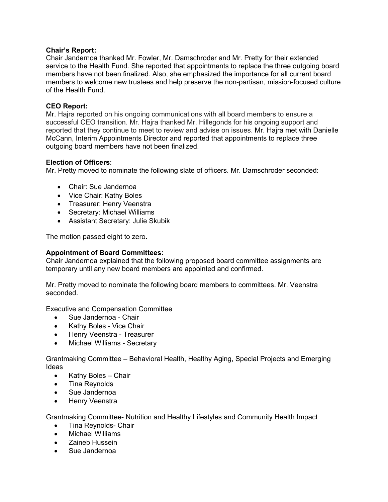## **Chair's Report:**

Chair Jandernoa thanked Mr. Fowler, Mr. Damschroder and Mr. Pretty for their extended service to the Health Fund. She reported that appointments to replace the three outgoing board members have not been finalized. Also, she emphasized the importance for all current board members to welcome new trustees and help preserve the non-partisan, mission-focused culture of the Health Fund.

## **CEO Report:**

Mr. Hajra reported on his ongoing communications with all board members to ensure a successful CEO transition. Mr. Hajra thanked Mr. Hillegonds for his ongoing support and reported that they continue to meet to review and advise on issues. Mr. Hajra met with Danielle McCann, Interim Appointments Director and reported that appointments to replace three outgoing board members have not been finalized.

## **Election of Officers**:

Mr. Pretty moved to nominate the following slate of officers. Mr. Damschroder seconded:

- Chair: Sue Jandernoa
- Vice Chair: Kathy Boles
- Treasurer: Henry Veenstra
- Secretary: Michael Williams
- Assistant Secretary: Julie Skubik

The motion passed eight to zero.

### **Appointment of Board Committees:**

Chair Jandernoa explained that the following proposed board committee assignments are temporary until any new board members are appointed and confirmed.

Mr. Pretty moved to nominate the following board members to committees. Mr. Veenstra seconded.

Executive and Compensation Committee

- Sue Jandernoa Chair
- Kathy Boles Vice Chair
- Henry Veenstra Treasurer
- Michael Williams Secretary

Grantmaking Committee – Behavioral Health, Healthy Aging, Special Projects and Emerging Ideas

- Kathy Boles Chair
- Tina Reynolds
- Sue Jandernoa
- Henry Veenstra

Grantmaking Committee- Nutrition and Healthy Lifestyles and Community Health Impact

- Tina Reynolds- Chair
- Michael Williams
- Zaineb Hussein
- Sue Jandernoa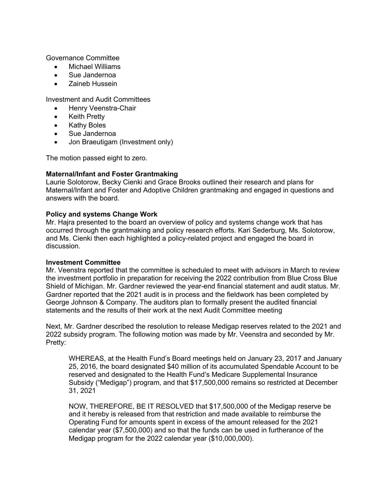Governance Committee

- Michael Williams
- Sue Jandernoa
- Zaineb Hussein

Investment and Audit Committees

- Henry Veenstra-Chair
- Keith Pretty
- Kathy Boles
- Sue Jandernoa
- Jon Braeutigam (Investment only)

The motion passed eight to zero.

# **Maternal/Infant and Foster Grantmaking**

Laurie Solotorow, Becky Cienki and Grace Brooks outlined their research and plans for Maternal/Infant and Foster and Adoptive Children grantmaking and engaged in questions and answers with the board.

# **Policy and systems Change Work**

Mr. Hajra presented to the board an overview of policy and systems change work that has occurred through the grantmaking and policy research efforts. Kari Sederburg, Ms. Solotorow, and Ms. Cienki then each highlighted a policy-related project and engaged the board in discussion.

# **Investment Committee**

Mr. Veenstra reported that the committee is scheduled to meet with advisors in March to review the investment portfolio in preparation for receiving the 2022 contribution from Blue Cross Blue Shield of Michigan. Mr. Gardner reviewed the year-end financial statement and audit status. Mr. Gardner reported that the 2021 audit is in process and the fieldwork has been completed by George Johnson & Company. The auditors plan to formally present the audited financial statements and the results of their work at the next Audit Committee meeting

Next, Mr. Gardner described the resolution to release Medigap reserves related to the 2021 and 2022 subsidy program. The following motion was made by Mr. Veenstra and seconded by Mr. Pretty:

WHEREAS, at the Health Fund's Board meetings held on January 23, 2017 and January 25, 2016, the board designated \$40 million of its accumulated Spendable Account to be reserved and designated to the Health Fund's Medicare Supplemental Insurance Subsidy ("Medigap") program, and that \$17,500,000 remains so restricted at December 31, 2021

NOW, THEREFORE, BE IT RESOLVED that \$17,500,000 of the Medigap reserve be and it hereby is released from that restriction and made available to reimburse the Operating Fund for amounts spent in excess of the amount released for the 2021 calendar year (\$7,500,000) and so that the funds can be used in furtherance of the Medigap program for the 2022 calendar year (\$10,000,000).